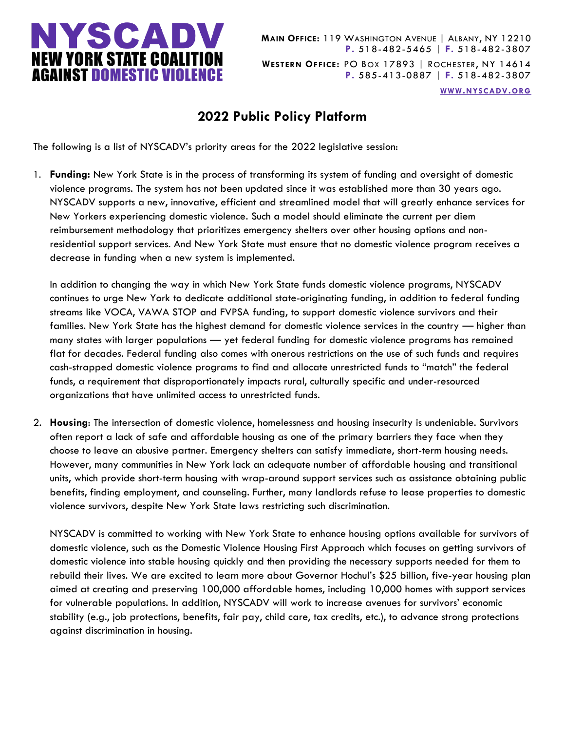

**MAIN OFFICE:** 119 WASHINGTON AVENUE | ALBANY, NY 12210 **P.** 518-482-5465 | **F.** 518-482-3807 **WESTERN OFFICE:** PO BOX 17893 | ROCHESTER, NY 14614 **P.** 585-413-0887 | **F.** 518-482-3807

**WWW.[NYSCADV](file://///server/data/Official%20Documents/NYSCADV%20Logo%20&%20Branding/2015%20Letterhead/www.nyscadv.org).ORG**

## **2022 Public Policy Platform**

The following is a list of NYSCADV's priority areas for the 2022 legislative session:

1. **Funding:** New York State is in the process of transforming its system of funding and oversight of domestic violence programs. The system has not been updated since it was established more than 30 years ago. NYSCADV supports a new, innovative, efficient and streamlined model that will greatly enhance services for New Yorkers experiencing domestic violence. Such a model should eliminate the current per diem reimbursement methodology that prioritizes emergency shelters over other housing options and nonresidential support services. And New York State must ensure that no domestic violence program receives a decrease in funding when a new system is implemented.

In addition to changing the way in which New York State funds domestic violence programs, NYSCADV continues to urge New York to dedicate additional state-originating funding, in addition to federal funding streams like VOCA, VAWA STOP and FVPSA funding, to support domestic violence survivors and their families. New York State has the highest demand for domestic violence services in the country — higher than many states with larger populations — yet federal funding for domestic violence programs has remained flat for decades. Federal funding also comes with onerous restrictions on the use of such funds and requires cash-strapped domestic violence programs to find and allocate unrestricted funds to "match" the federal funds, a requirement that disproportionately impacts rural, culturally specific and under-resourced organizations that have unlimited access to unrestricted funds.

2. **Housing**: The intersection of domestic violence, homelessness and housing insecurity is undeniable. Survivors often report a lack of safe and affordable housing as one of the primary barriers they face when they choose to leave an abusive partner. Emergency shelters can satisfy immediate, short-term housing needs. However, many communities in New York lack an adequate number of affordable housing and transitional units, which provide short-term housing with wrap-around support services such as assistance obtaining public benefits, finding employment, and counseling. Further, many landlords refuse to lease properties to domestic violence survivors, despite New York State laws restricting such discrimination.

NYSCADV is committed to working with New York State to enhance housing options available for survivors of domestic violence, such as the Domestic Violence Housing First Approach which focuses on getting survivors of domestic violence into stable housing quickly and then providing the necessary supports needed for them to rebuild their lives. We are excited to learn more about Governor Hochul's \$25 billion, five-year housing plan aimed at creating and preserving 100,000 affordable homes, including 10,000 homes with support services for vulnerable populations. In addition, NYSCADV will work to increase avenues for survivors' economic stability (e.g., job protections, benefits, fair pay, child care, tax credits, etc.), to advance strong protections against discrimination in housing.